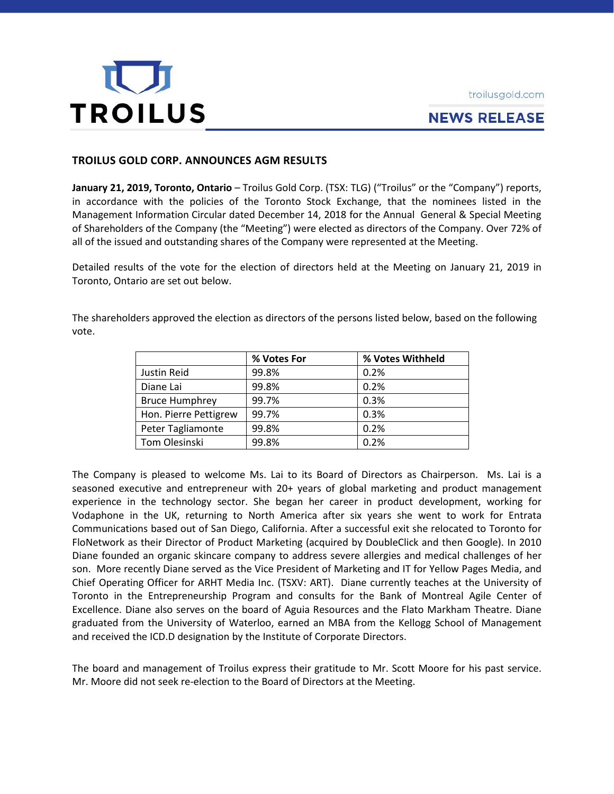



# **NEWS RELEASE**

# **TROILUS GOLD CORP. ANNOUNCES AGM RESULTS**

**January 21, 2019, Toronto, Ontario** – Troilus Gold Corp. (TSX: TLG) ("Troilus" or the "Company") reports, in accordance with the policies of the Toronto Stock Exchange, that the nominees listed in the Management Information Circular dated December 14, 2018 for the Annual General & Special Meeting of Shareholders of the Company (the "Meeting") were elected as directors of the Company. Over 72% of all of the issued and outstanding shares of the Company were represented at the Meeting.

Detailed results of the vote for the election of directors held at the Meeting on January 21, 2019 in Toronto, Ontario are set out below.

The shareholders approved the election as directors of the persons listed below, based on the following vote.

|                       | % Votes For | % Votes Withheld |
|-----------------------|-------------|------------------|
| Justin Reid           | 99.8%       | 0.2%             |
| Diane Lai             | 99.8%       | 0.2%             |
| <b>Bruce Humphrey</b> | 99.7%       | 0.3%             |
| Hon. Pierre Pettigrew | 99.7%       | 0.3%             |
| Peter Tagliamonte     | 99.8%       | 0.2%             |
| Tom Olesinski         | 99.8%       | 0.2%             |

The Company is pleased to welcome Ms. Lai to its Board of Directors as Chairperson. Ms. Lai is a seasoned executive and entrepreneur with 20+ years of global marketing and product management experience in the technology sector. She began her career in product development, working for Vodaphone in the UK, returning to North America after six years she went to work for Entrata Communications based out of San Diego, California. After a successful exit she relocated to Toronto for FloNetwork as their Director of Product Marketing (acquired by DoubleClick and then Google). In 2010 Diane founded an organic skincare company to address severe allergies and medical challenges of her son. More recently Diane served as the Vice President of Marketing and IT for Yellow Pages Media, and Chief Operating Officer for ARHT Media Inc. (TSXV: ART). Diane currently teaches at the University of Toronto in the Entrepreneurship Program and consults for the Bank of Montreal Agile Center of Excellence. Diane also serves on the board of Aguia Resources and the Flato Markham Theatre. Diane graduated from the University of Waterloo, earned an MBA from the Kellogg School of Management and received the ICD.D designation by the Institute of Corporate Directors.

The board and management of Troilus express their gratitude to Mr. Scott Moore for his past service. Mr. Moore did not seek re-election to the Board of Directors at the Meeting.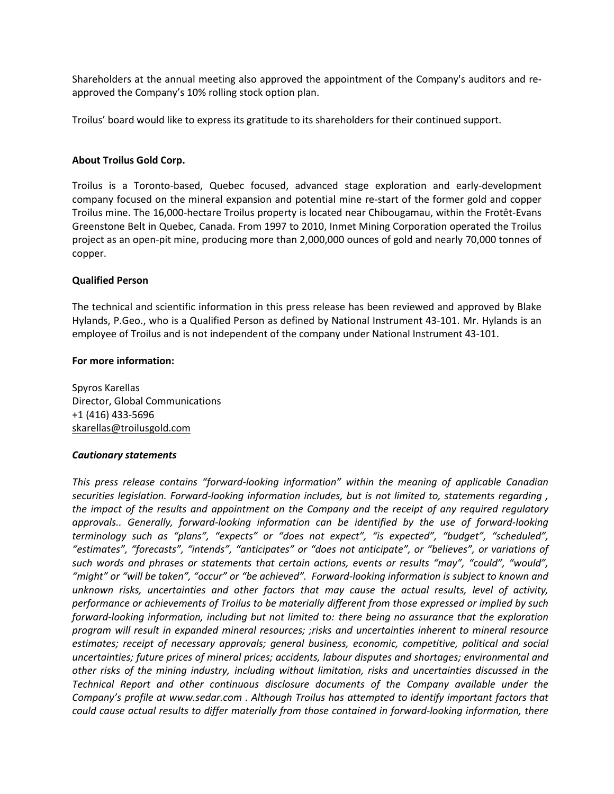Shareholders at the annual meeting also approved the appointment of the Company's auditors and reapproved the Company's 10% rolling stock option plan.

Troilus' board would like to express its gratitude to its shareholders for their continued support.

# **About Troilus Gold Corp.**

Troilus is a Toronto-based, Quebec focused, advanced stage exploration and early-development company focused on the mineral expansion and potential mine re-start of the former gold and copper Troilus mine. The 16,000-hectare Troilus property is located near Chibougamau, within the Frotêt-Evans Greenstone Belt in Quebec, Canada. From 1997 to 2010, Inmet Mining Corporation operated the Troilus project as an open-pit mine, producing more than 2,000,000 ounces of gold and nearly 70,000 tonnes of copper.

### **Qualified Person**

The technical and scientific information in this press release has been reviewed and approved by Blake Hylands, P.Geo., who is a Qualified Person as defined by National Instrument 43-101. Mr. Hylands is an employee of Troilus and is not independent of the company under National Instrument 43-101.

### **For more information:**

Spyros Karellas Director, Global Communications +1 (416) 433-5696 [skarellas@troilusgold.com](mailto:skarellas@troilusgold.com)

#### *Cautionary statements*

*This press release contains "forward-looking information" within the meaning of applicable Canadian securities legislation. Forward-looking information includes, but is not limited to, statements regarding , the impact of the results and appointment on the Company and the receipt of any required regulatory approvals.. Generally, forward-looking information can be identified by the use of forward-looking terminology such as "plans", "expects" or "does not expect", "is expected", "budget", "scheduled", "estimates", "forecasts", "intends", "anticipates" or "does not anticipate", or "believes", or variations of such words and phrases or statements that certain actions, events or results "may", "could", "would", "might" or "will be taken", "occur" or "be achieved". Forward-looking information is subject to known and unknown risks, uncertainties and other factors that may cause the actual results, level of activity, performance or achievements of Troilus to be materially different from those expressed or implied by such forward-looking information, including but not limited to: there being no assurance that the exploration program will result in expanded mineral resources; ;risks and uncertainties inherent to mineral resource estimates; receipt of necessary approvals; general business, economic, competitive, political and social uncertainties; future prices of mineral prices; accidents, labour disputes and shortages; environmental and other risks of the mining industry, including without limitation, risks and uncertainties discussed in the Technical Report and other continuous disclosure documents of the Company available under the Company's profile at www.sedar.com . Although Troilus has attempted to identify important factors that could cause actual results to differ materially from those contained in forward-looking information, there*